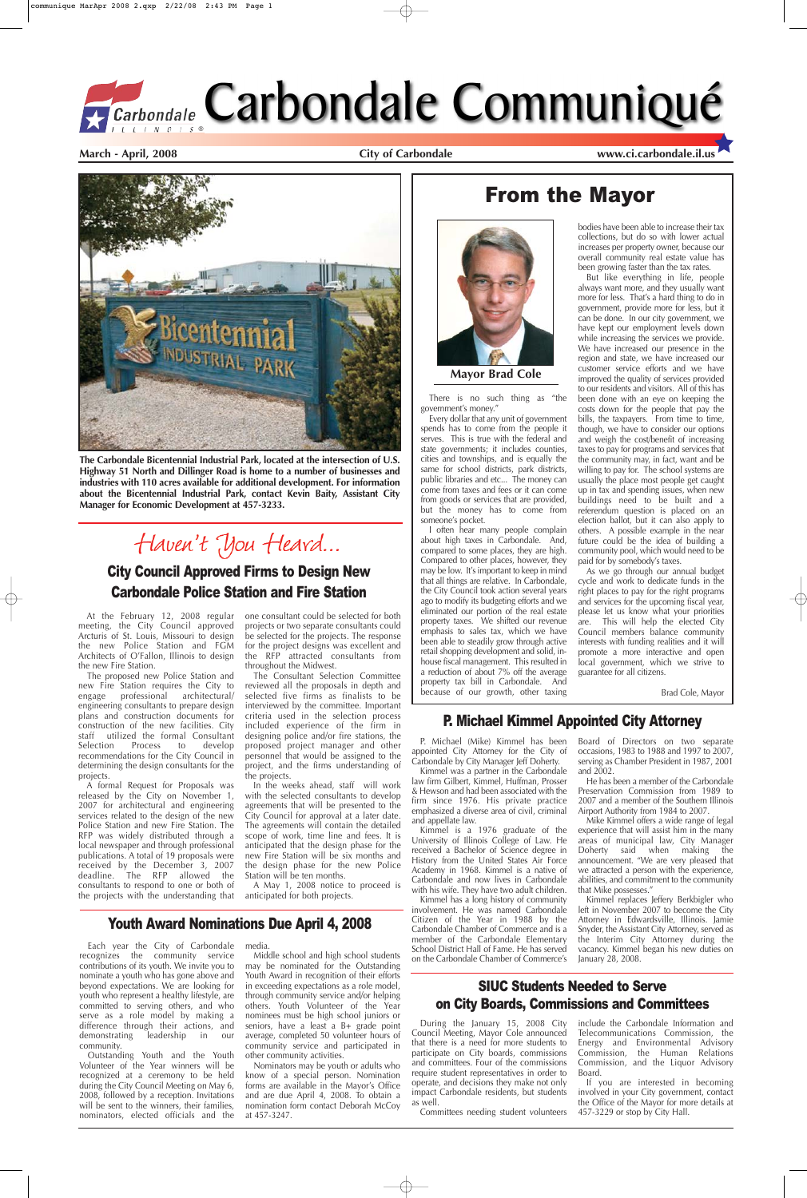At the February 12, 2008 regular meeting, the City Council approved Arcturis of St. Louis, Missouri to design the new Police Station and FGM Architects of O'Fallon, Illinois to design the new Fire Station.

The proposed new Police Station and new Fire Station requires the City to engage professional architectural/ engineering consultants to prepare design plans and construction documents for construction of the new facilities. City staff utilized the formal Consultant<br>Selection Process to develop develop recommendations for the City Council in determining the design consultants for the projects.

A formal Request for Proposals was released by the City on November 1, 2007 for architectural and engineering services related to the design of the new Police Station and new Fire Station. The RFP was widely distributed through a local newspaper and through professional publications. A total of 19 proposals were received by the December 3, 2007 deadline. The RFP allowed the consultants to respond to one or both of the projects with the understanding that one consultant could be selected for both projects or two separate consultants could be selected for the projects. The response for the project designs was excellent and the RFP attracted consultants from throughout the Midwest.

The Consultant Selection Committee reviewed all the proposals in depth and selected five firms as finalists to be interviewed by the committee. Important criteria used in the selection process included experience of the firm in designing police and/or fire stations, the proposed project manager and other personnel that would be assigned to the project, and the firms understanding of the projects.

In the weeks ahead, staff will work with the selected consultants to develop agreements that will be presented to the City Council for approval at a later date. The agreements will contain the detailed scope of work, time line and fees. It is anticipated that the design phase for the new Fire Station will be six months and the design phase for the new Police Station will be ten months.

A May 1, 2008 notice to proceed is anticipated for both projects.

**March - April, 2008 City of Carbondale www.ci.carbondale.il.us**

# From the Mayor





There is no such thing as "the government's money."

Every dollar that any unit of government spends has to come from the people it serves. This is true with the federal and state governments; it includes counties, cities and townships, and is equally the same for school districts, park districts, public libraries and etc... The money can come from taxes and fees or it can come from goods or services that are provided, but the money has to come from someone's pocket.

I often hear many people complain about high taxes in Carbondale. And, compared to some places, they are high. Compared to other places, however, they may be low. It's important to keep in mind that all things are relative. In Carbondale, the City Council took action several years ago to modify its budgeting efforts and we eliminated our portion of the real estate property taxes. We shifted our revenue emphasis to sales tax, which we have been able to steadily grow through active retail shopping development and solid, inhouse fiscal management. This resulted in a reduction of about 7% off the average property tax bill in Carbondale. And because of our growth, other taxing

bodies have been able to increase their tax collections, but do so with lower actual increases per property owner, because our overall community real estate value has been growing faster than the tax rates.

But like everything in life, people always want more, and they usually want more for less. That's a hard thing to do in government, provide more for less, but it can be done. In our city government, we have kept our employment levels down while increasing the services we provide. We have increased our presence in the region and state, we have increased our customer service efforts and we have improved the quality of services provided to our residents and visitors. All of this has been done with an eye on keeping the costs down for the people that pay the bills, the taxpayers. From time to time, though, we have to consider our options and weigh the cost/benefit of increasing taxes to pay for programs and services that the community may, in fact, want and be willing to pay for. The school systems are usually the place most people get caught up in tax and spending issues, when new buildings need to be built and a referendum question is placed on an election ballot, but it can also apply to others. A possible example in the near future could be the idea of building a community pool, which would need to be paid for by somebody's taxes.

Kimmel replaces Jeffery Berkbigler who left in November 2007 to become the City Attorney in Edwardsville, Illinois. Jamie Snyder, the Assistant City Attorney, served as the Interim City Attorney during the vacancy. Kimmel began his new duties on January 28, 2008.

As we go through our annual budget cycle and work to dedicate funds in the right places to pay for the right programs and services for the upcoming fiscal year, please let us know what your priorities are. This will help the elected City Council members balance community interests with funding realities and it will promote a more interactive and open local government, which we strive to guarantee for all citizens.

Brad Cole, Mayor

**Mayor Brad Cole**



**The Carbondale Bicentennial Industrial Park, located at the intersection of U.S. Highway 51 North and Dillinger Road is home to a number of businesses and industries with 110 acres available for additional development. For information about the Bicentennial Industrial Park, contact Kevin Baity, Assistant City Manager for Economic Development at 457-3233.**

# Haven't You Heard...

## City Council Approved Firms to Design New Carbondale Police Station and Fire Station

recognizes the community service contributions of its youth. We invite you to nominate a youth who has gone above and beyond expectations. We are looking for youth who represent a healthy lifestyle, are committed to serving others, and who serve as a role model by making a difference through their actions, and demonstrating leadership in our community.

Each year the City of Carbondale media.

Outstanding Youth and the Youth Volunteer of the Year winners will be recognized at a ceremony to be held during the City Council Meeting on May 6, 2008, followed by a reception. Invitations will be sent to the winners, their families, nominators, elected officials and the

Middle school and high school students may be nominated for the Outstanding Youth Award in recognition of their efforts in exceeding expectations as a role model, through community service and/or helping others. Youth Volunteer of the Year nominees must be high school juniors or seniors, have a least a B+ grade point average, completed 50 volunteer hours of community service and participated in other community activities.

Nominators may be youth or adults who know of a special person. Nomination forms are available in the Mayor's Office and are due April 4, 2008. To obtain a nomination form contact Deborah McCoy at 457-3247.

## Youth Award Nominations Due April 4, 2008

## P. Michael Kimmel Appointed City Attorney

P. Michael (Mike) Kimmel has been appointed City Attorney for the City of Carbondale by City Manager Jeff Doherty.

Kimmel was a partner in the Carbondale law firm Gilbert, Kimmel, Huffman, Prosser & Hewson and had been associated with the firm since 1976. His private practice emphasized a diverse area of civil, criminal and appellate law.

Kimmel is a 1976 graduate of the

University of Illinois College of Law. He received a Bachelor of Science degree in History from the United States Air Force Academy in 1968. Kimmel is a native of Carbondale and now lives in Carbondale with his wife. They have two adult children. Kimmel has a long history of community involvement. He was named Carbondale Citizen of the Year in 1988 by the Carbondale Chamber of Commerce and is a member of the Carbondale Elementary School District Hall of Fame. He has served on the Carbondale Chamber of Commerce's

Board of Directors on two separate occasions, 1983 to 1988 and 1997 to 2007, serving as Chamber President in 1987, 2001 and 2002.

He has been a member of the Carbondale Preservation Commission from 1989 to 2007 and a member of the Southern Illinois Airport Authority from 1984 to 2007.

Mike Kimmel offers a wide range of legal experience that will assist him in the many

areas of municipal law, City Manager Doherty said when making the announcement. "We are very pleased that we attracted a person with the experience, abilities, and commitment to the community that Mike possesses."

## SIUC Students Needed to Serve on City Boards, Commissions and Committees

During the January 15, 2008 City Council Meeting, Mayor Cole announced that there is a need for more students to participate on City boards, commissions and committees. Four of the commissions require student representatives in order to operate, and decisions they make not only impact Carbondale residents, but students as well.

Committees needing student volunteers

include the Carbondale Information and Telecommunications Commission, the Energy and Environmental Advisory Commission, the Human Relations Commission, and the Liquor Advisory Board.

If you are interested in becoming involved in your City government, contact the Office of the Mayor for more details at 457-3229 or stop by City Hall.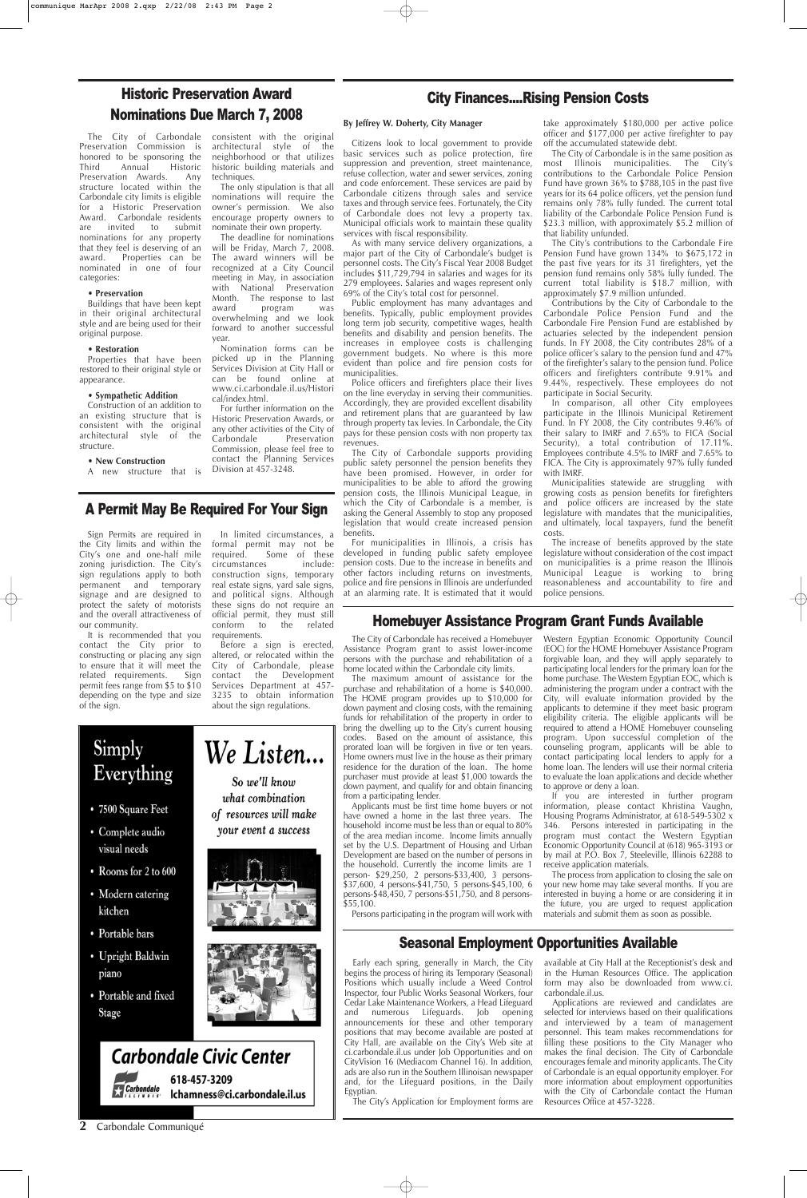#### **2** Carbondale Communiqué

## Homebuyer Assistance Program Grant Funds Available

The City of Carbondale has received a Homebuyer Assistance Program grant to assist lower-income persons with the purchase and rehabilitation of a home located within the Carbondale city limits.

The maximum amount of assistance for the purchase and rehabilitation of a home is \$40,000. The HOME program provides up to \$10,000 for down payment and closing costs, with the remaining funds for rehabilitation of the property in order to bring the dwelling up to the City's current housing codes. Based on the amount of assistance, this prorated loan will be forgiven in five or ten years. Home owners must live in the house as their primary residence for the duration of the loan. The home purchaser must provide at least \$1,000 towards the down payment, and qualify for and obtain financing from a participating lender.

Applicants must be first time home buyers or not have owned a home in the last three years. The household income must be less than or equal to 80% of the area median income. Income limits annually



Persons participating in the program will work with

Western Egyptian Economic Opportunity Council (EOC) for the HOME Homebuyer Assistance Program forgivable loan, and they will apply separately to participating local lenders for the primary loan for the home purchase. The Western Egyptian EOC, which is administering the program under a contract with the City, will evaluate information provided by the applicants to determine if they meet basic program eligibility criteria. The eligible applicants will be required to attend a HOME Homebuyer counseling program. Upon successful completion of the counseling program, applicants will be able to contact participating local lenders to apply for a home loan. The lenders will use their normal criteria to evaluate the loan applications and decide whether to approve or deny a loan.

If you are interested in further program information, please contact Khristina Vaughn, Housing Programs Administrator, at 618-549-5302 x 346. Persons interested in participating in the program must contact the Western Egyptian Economic Opportunity Council at (618) 965-3193 or by mail at P.O. Box  $\dot{7}$ , Steeleville, Illinois 62288 to receive application materials. The process from application to closing the sale on your new home may take several months. If you are interested in buying a home or are considering it in the future, you are urged to request application materials and submit them as soon as possible.

# Simply We Listen... Everything • 7500 Square Feet

your event a success

So we'll know what combination of resources will make

visual needs

• Complete audio

- Rooms for 2 to 600
- Modern catering kitchen
- Portable bars
- Upright Baldwin piano
- Portable and fixed **Stage**







## Seasonal Employment Opportunities Available

The City of Carbondale consistent with the original architectural style of the neighborhood or that utilizes historic building materials and techniques.

> Early each spring, generally in March, the City begins the process of hiring its Temporary (Seasonal) Positions which usually include a Weed Control Inspector, four Public Works Seasonal Workers, four Cedar Lake Maintenance Workers, a Head Lifeguard and numerous Lifeguards. Job opening announcements for these and other temporary positions that may become available are posted at City Hall, are available on the City's Web site at ci.carbondale.il.us under Job Opportunities and on CityVision 16 (Mediacom Channel 16). In addition, ads are also run in the Southern Illinoisan newspaper and, for the Lifeguard positions, in the Daily Egyptian.

The City's Application for Employment forms are

available at City Hall at the Receptionist's desk and in the Human Resources Office. The application form may also be downloaded from www.ci. carbondale.il.us.

Applications are reviewed and candidates are selected for interviews based on their qualifications and interviewed by a team of management personnel. This team makes recommendations for filling these positions to the City Manager who makes the final decision. The City of Carbondale encourages female and minority applicants. The City of Carbondale is an equal opportunity employer. For more information about employment opportunities with the City of Carbondale contact the Human Resources Office at 457-3228.

## A Permit May Be Required For Your Sign

Sign Permits are required in the City limits and within the City's one and one-half mile zoning jurisdiction. The City's sign regulations apply to both permanent and temporary signage and are designed to protect the safety of motorists and the overall attractiveness of our community.

It is recommended that you contact the City prior to constructing or placing any sign to ensure that it will meet the related requirements. Sign permit fees range from \$5 to \$10 depending on the type and size of the sign.

In limited circumstances, a formal permit may not be

required. Some of these circumstances include: construction signs, temporary real estate signs, yard sale signs, and political signs. Although these signs do not require an official permit, they must still conform to the related requirements.

Before a sign is erected, altered, or relocated within the City of Carbondale, please contact the Development Services Department at 457- 3235 to obtain information about the sign regulations.

# Historic Preservation Award Nominations Due March 7, 2008

Preservation Commission is honored to be sponsoring the Third Annual Historic Preservation Awards. Any structure located within the Carbondale city limits is eligible for a Historic Preservation Award. Carbondale residents are invited to submit nominations for any property that they feel is deserving of an award. Properties can be nominated in one of four categories:

#### • **Preservation**

Buildings that have been kept in their original architectural style and are being used for their original purpose.

#### • **Restoration**

Properties that have been restored to their original style or appearance.

#### • **Sympathetic Addition**

Construction of an addition to an existing structure that is consistent with the original architectural style of the structure.

• **New Construction**

A new structure that is

The only stipulation is that all nominations will require the owner's permission. We also encourage property owners to nominate their own property.

The deadline for nominations will be Friday, March 7, 2008. The award winners will be recognized at a City Council meeting in May, in association with National Preservation Month. The response to last award program was overwhelming and we look forward to another successful year.

Nomination forms can be picked up in the Planning Services Division at City Hall or can be found online at www.ci.carbondale.il.us/Histori cal/index.html.

For further information on the Historic Preservation Awards, or any other activities of the City of Carbondale Preservation Commission, please feel free to contact the Planning Services Division at 457-3248.

#### **By Jeffrey W. Doherty, City Manager**

Citizens look to local government to provide basic services such as police protection, fire suppression and prevention, street maintenance, refuse collection, water and sewer services, zoning and code enforcement. These services are paid by Carbondale citizens through sales and service taxes and through service fees. Fortunately, the City of Carbondale does not levy a property tax. Municipal officials work to maintain these quality services with fiscal responsibility.

As with many service delivery organizations, a major part of the City of Carbondale's budget is personnel costs. The City's Fiscal Year 2008 Budget includes \$11,729,794 in salaries and wages for its 279 employees. Salaries and wages represent only 69% of the City's total cost for personnel.

Public employment has many advantages and benefits. Typically, public employment provides long term job security, competitive wages, health benefits and disability and pension benefits. The increases in employee costs is challenging government budgets. No where is this more evident than police and fire pension costs for municipalities.

Police officers and firefighters place their lives on the line everyday in serving their communities. Accordingly, they are provided excellent disability and retirement plans that are guaranteed by law through property tax levies. In Carbondale, the City pays for these pension costs with non property tax revenues.

The City of Carbondale supports providing public safety personnel the pension benefits they have been promised. However, in order for municipalities to be able to afford the growing pension costs, the Illinois Municipal League, in which the City of Carbondale is a member, is asking the General Assembly to stop any proposed legislation that would create increased pension benefits.

For municipalities in Illinois, a crisis has developed in funding public safety employee pension costs. Due to the increase in benefits and other factors including returns on investments, police and fire pensions in Illinois are underfunded at an alarming rate. It is estimated that it would

take approximately \$180,000 per active police officer and \$177,000 per active firefighter to pay off the accumulated statewide debt.

The City of Carbondale is in the same position as most Illinois municipalities. The City's contributions to the Carbondale Police Pension Fund have grown 36% to \$788,105 in the past five years for its 64 police officers, yet the pension fund remains only 78% fully funded. The current total liability of the Carbondale Police Pension Fund is \$23.3 million, with approximately \$5.2 million of that liability unfunded.

The City's contributions to the Carbondale Fire Pension Fund have grown 134% to \$675,172 in the past five years for its 31 firefighters, yet the pension fund remains only 58% fully funded. The current total liability is \$18.7 million, with approximately \$7.9 million unfunded.

Contributions by the City of Carbondale to the Carbondale Police Pension Fund and the Carbondale Fire Pension Fund are established by actuaries selected by the independent pension funds. In FY 2008, the City contributes 28% of a police officer's salary to the pension fund and 47% of the firefighter's salary to the pension fund. Police officers and firefighters contribute 9.91% and 9.44%, respectively. These employees do not participate in Social Security.

In comparison, all other City employees participate in the Illinois Municipal Retirement Fund. In FY 2008, the City contributes 9.46% of their salary to IMRF and 7.65% to FICA (Social Security), a total contribution of 17.11%. Employees contribute 4.5% to IMRF and 7.65% to FICA. The City is approximately 97% fully funded with IMRF.

Municipalities statewide are struggling with growing costs as pension benefits for firefighters and police officers are increased by the state legislature with mandates that the municipalities, and ultimately, local taxpayers, fund the benefit costs.

The increase of benefits approved by the state legislature without consideration of the cost impact on municipalities is a prime reason the Illinois Municipal League is working to bring reasonableness and accountability to fire and police pensions.

## City Finances....Rising Pension Costs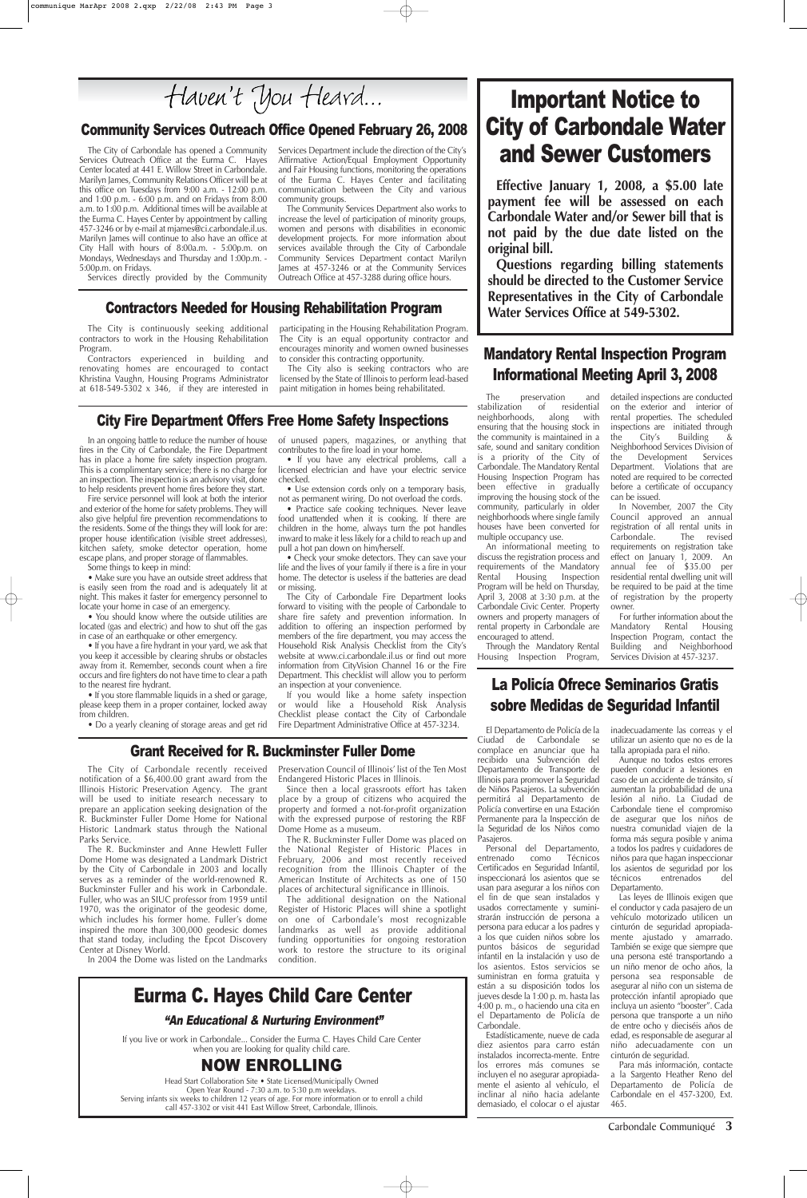#### City Fire Department Offers Free Home Safety Inspections

In an ongoing battle to reduce the number of house fires in the City of Carbondale, the Fire Department has in place a home fire safety inspection program. This is a complimentary service; there is no charge for an inspection. The inspection is an advisory visit, done to help residents prevent home fires before they start.

Fire service personnel will look at both the interior and exterior of the home for safety problems. They will also give helpful fire prevention recommendations to the residents. Some of the things they will look for are: proper house identification (visible street addresses), kitchen safety, smoke detector operation, home escape plans, and proper storage of flammables.

Some things to keep in mind:

• Make sure you have an outside street address that is easily seen from the road and is adequately lit at night. This makes it faster for emergency personnel to locate your home in case of an emergency.

• You should know where the outside utilities are located (gas and electric) and how to shut off the gas in case of an earthquake or other emergency.

• If you have a fire hydrant in your yard, we ask that you keep it accessible by clearing shrubs or obstacles away from it. Remember, seconds count when a fire occurs and fire fighters do not have time to clear a path to the nearest fire hydrant.

• If you store flammable liquids in a shed or garage, please keep them in a proper container, locked away from children.

• Do a yearly cleaning of storage areas and get rid

of unused papers, magazines, or anything that contributes to the fire load in your home.

• If you have any electrical problems, call a licensed electrician and have your electric service checked.

• Use extension cords only on a temporary basis, not as permanent wiring. Do not overload the cords.

• Practice safe cooking techniques. Never leave food unattended when it is cooking. If there are children in the home, always turn the pot handles inward to make it less likely for a child to reach up and pull a hot pan down on him/herself.

• Check your smoke detectors. They can save your life and the lives of your family if there is a fire in your home. The detector is useless if the batteries are dead or missing.

The City of Carbondale Fire Department looks forward to visiting with the people of Carbondale to share fire safety and prevention information. In addition to offering an inspection performed by members of the fire department, you may access the Household Risk Analysis Checklist from the City's website at www.ci.carbondale.il.us or find out more information from CityVision Channel 16 or the Fire Department. This checklist will allow you to perform an inspection at your convenience.

If you would like a home safety inspection or would like a Household Risk Analysis Checklist please contact the City of Carbondale Fire Department Administrative Office at 457-3234.

Carbondale Communiqué **3**

El Departamento de Policía de la Ciudad de Carbondale se complace en anunciar que ha recibido una Subvención del Departamento de Transporte de Illinois para promover la Seguridad de Niños Pasajeros. La subvención permitirá al Departamento de Policía convertirse en una Estación Permanente para la Inspección de la Seguridad de los Niños como

Pasajeros.

Personal del Departamento, entrenado como Técnicos Certificados en Seguridad Infantil, inspeccionará los asientos que se usan para asegurar a los niños con el fin de que sean instalados y usados correctamente y suministrarán instrucción de persona a persona para educar a los padres y a los que cuiden niños sobre los puntos básicos de seguridad infantil en la instalación y uso de los asientos. Estos servicios se suministran en forma gratuita y están a su disposición todos los jueves desde la 1:00 p. m. hasta las 4:00 p. m., o haciendo una cita en el Departamento de Policía de Carbondale.

Estadísticamente, nueve de cada diez asientos para carro están instalados incorrecta-mente. Entre los errores más comunes se incluyen el no asegurar apropiadamente el asiento al vehículo, el inclinar al niño hacia adelante demasiado, el colocar o el ajustar

inadecuadamente las correas y el utilizar un asiento que no es de la talla apropiada para el niño.

Aunque no todos estos errores pueden conducir a lesiones en caso de un accidente de tránsito, sí aumentan la probabilidad de una lesión al niño. La Ciudad de Carbondale tiene el compromiso de asegurar que los niños de nuestra comunidad viajen de la forma más segura posible y a todos los padres y cuidadores de niños para que hagan inspeccionar los asientos de seguridad por los técnicos entrenados del Departamento. Las leyes de Illinois exigen que el conductor y cada pasajero de un vehículo motorizado utilicen un cinturón de seguridad apropiadamente ajustado y amarrado. También se exige que siempre que una persona esté transportando a un niño menor de ocho años, la persona sea responsable de asegurar al niño con un sistema de protección infantil apropiado que incluya un asiento "booster". Cada persona que transporte a un niño de entre ocho y dieciséis años de edad, es responsable de asegurar al niño adecuadamente con un cinturón de seguridad.

Para más información, contacte a la Sargento Heather Reno del Departamento de Policía de Carbondale en el 457-3200, Ext. 465.

## La Policía Ofrece Seminarios Gratis sobre Medidas de Seguridad Infantil

### Grant Received for R. Buckminster Fuller Dome

The City of Carbondale recently received notification of a \$6,400.00 grant award from the Illinois Historic Preservation Agency. The grant will be used to initiate research necessary to prepare an application seeking designation of the R. Buckminster Fuller Dome Home for National Historic Landmark status through the National

Contractors experienced in building and renovating homes are encouraged to contact Khristina Vaughn, Housing Programs Administrator at  $618-549-5302 \times 346$ , if they are interested in

Parks Service.

The R. Buckminster and Anne Hewlett Fuller Dome Home was designated a Landmark District by the City of Carbondale in 2003 and locally serves as a reminder of the world-renowned R. Buckminster Fuller and his work in Carbondale. Fuller, who was an SIUC professor from 1959 until 1970, was the originator of the geodesic dome, which includes his former home. Fuller's dome inspired the more than 300,000 geodesic domes that stand today, including the Epcot Discovery Center at Disney World.

In 2004 the Dome was listed on the Landmarks

Preservation Council of Illinois' list of the Ten Most Endangered Historic Places in Illinois.

Since then a local grassroots effort has taken place by a group of citizens who acquired the property and formed a not-for-profit organization with the expressed purpose of restoring the RBF Dome Home as a museum.

The R. Buckminster Fuller Dome was placed on

the National Register of Historic Places in February, 2006 and most recently received recognition from the Illinois Chapter of the American Institute of Architects as one of 150 places of architectural significance in Illinois.

The additional designation on the National Register of Historic Places will shine a spotlight on one of Carbondale's most recognizable landmarks as well as provide additional funding opportunities for ongoing restoration work to restore the structure to its original condition.

#### Community Services Outreach Office Opened February 26, 2008

# Important Notice to City of Carbondale Water and Sewer Customers

**Effective January 1, 2008, a \$5.00 late payment fee will be assessed on each Carbondale Water and/or Sewer bill that is not paid by the due date listed on the original bill.**

**Questions regarding billing statements should be directed to the Customer Service Representatives in the City of Carbondale Water Services Office at 549-5302.**

# Eurma C. Hayes Child Care Center

If you live or work in Carbondale... Consider the Eurma C. Hayes Child Care Center when you are looking for quality child care.

## NOW ENROLLING

Head Start Collaboration Site • State Licensed/Municipally Owned Open Year Round - 7:30 a.m. to 5:30 p.m weekdays. Serving infants six weeks to children 12 years of age. For more information or to enroll a child call 457-3302 or visit 441 East Willow Street, Carbondale, Illinois.

#### "An Educational & Nurturing Environment"

The preservation and stabilization of residential neighborhoods, along with ensuring that the housing stock in the community is maintained in a safe, sound and sanitary condition is a priority of the City of Carbondale. The Mandatory Rental Housing Inspection Program has been effective in gradually improving the housing stock of the community, particularly in older neighborhoods where single family houses have been converted for multiple occupancy use.

An informational meeting to discuss the registration process and requirements of the Mandatory Rental Housing Inspection Program will be held on Thursday, April 3, 2008 at 3:30 p.m. at the Carbondale Civic Center. Property owners and property managers of rental property in Carbondale are encouraged to attend.

Through the Mandatory Rental Housing Inspection Program,

detailed inspections are conducted on the exterior and interior of rental properties. The scheduled inspections are initiated through<br>the City's Building &  $the$  City's Building Neighborhood Services Division of the Development Services Department. Violations that are noted are required to be corrected before a certificate of occupancy can be issued.

In November, 2007 the City Council approved an annual registration of all rental units in Carbondale. The revised requirements on registration take effect on January 1, 2009. An annual fee of \$35.00 per residential rental dwelling unit will be required to be paid at the time of registration by the property owner.

For further information about the Mandatory Rental Housing Inspection Program, contact the Building and Neighborhood Services Division at 457-3237.

## Mandatory Rental Inspection Program Informational Meeting April 3, 2008

The City of Carbondale has opened a Community Services Outreach Office at the Eurma C. Hayes Center located at 441 E. Willow Street in Carbondale. Marilyn James, Community Relations Officer will be at this office on Tuesdays from 9:00 a.m. - 12:00 p.m. and 1:00 p.m. -  $6:00$  p.m. and on Fridays from  $8:00$ a.m. to 1:00 p.m. Additional times will be available at the Eurma C. Hayes Center by appointment by calling 457-3246 or by e-mail at mjames@ci.carbondale.il.us. Marilyn James will continue to also have an office at City Hall with hours of 8:00a.m. - 5:00p.m. on Mondays, Wednesdays and Thursday and 1:00p.m. - 5:00p.m. on Fridays.

Services directly provided by the Community

Services Department include the direction of the City's Affirmative Action/Equal Employment Opportunity and Fair Housing functions, monitoring the operations of the Eurma C. Hayes Center and facilitating communication between the City and various community groups.

The Community Services Department also works to increase the level of participation of minority groups, women and persons with disabilities in economic development projects. For more information about services available through the City of Carbondale Community Services Department contact Marilyn James at 457-3246 or at the Community Services Outreach Office at 457-3288 during office hours.

### Contractors Needed for Housing Rehabilitation Program

The City is continuously seeking additional contractors to work in the Housing Rehabilitation Program.

participating in the Housing Rehabilitation Program. The City is an equal opportunity contractor and encourages minority and women owned businesses to consider this contracting opportunity.

The City also is seeking contractors who are licensed by the State of Illinois to perform lead-based paint mitigation in homes being rehabilitated.

Haven't You Heard...